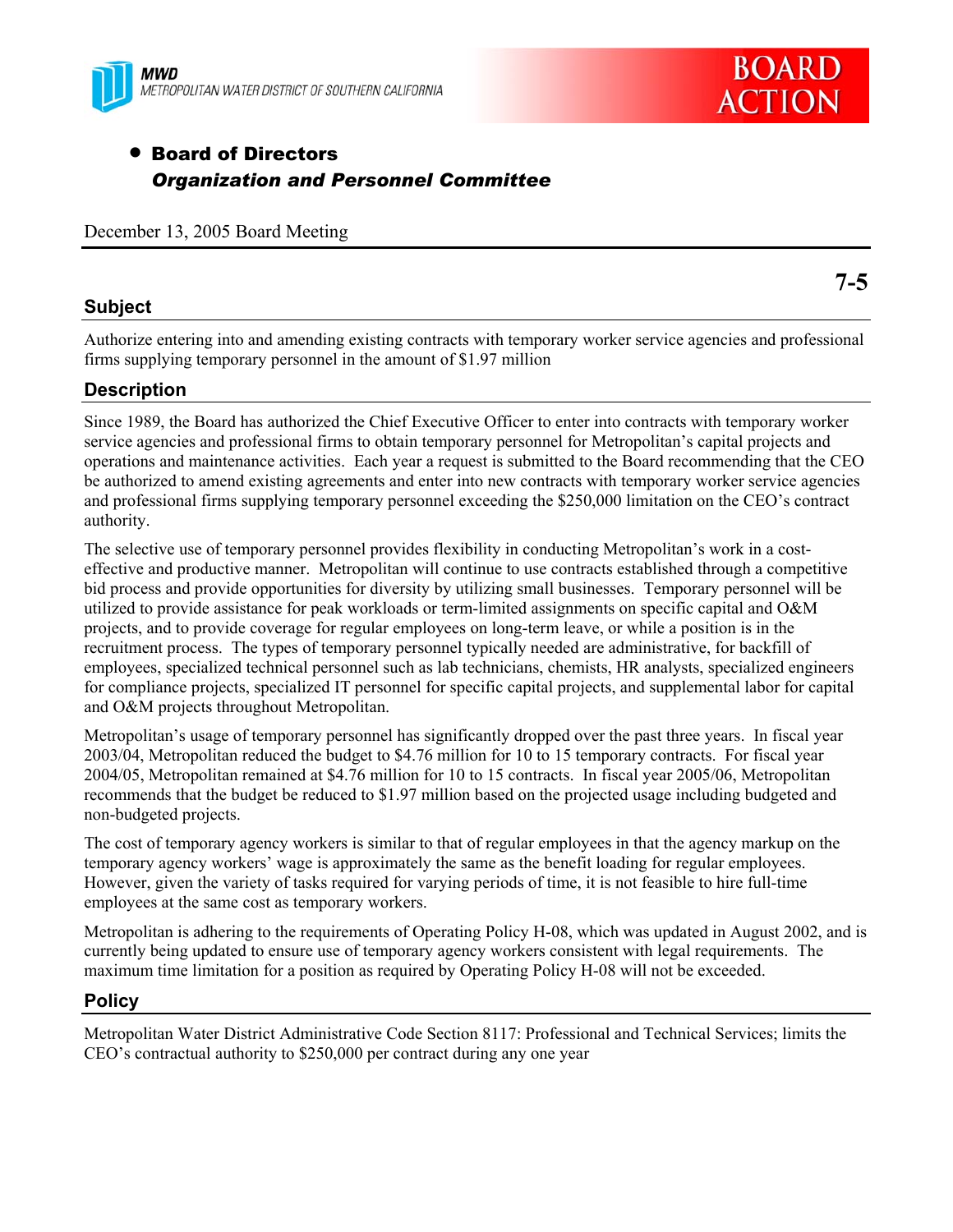



# • Board of Directors *Organization and Personnel Committee*

December 13, 2005 Board Meeting

### **Subject**

Authorize entering into and amending existing contracts with temporary worker service agencies and professional firms supplying temporary personnel in the amount of \$1.97 million

# **Description**

Since 1989, the Board has authorized the Chief Executive Officer to enter into contracts with temporary worker service agencies and professional firms to obtain temporary personnel for Metropolitan's capital projects and operations and maintenance activities. Each year a request is submitted to the Board recommending that the CEO be authorized to amend existing agreements and enter into new contracts with temporary worker service agencies and professional firms supplying temporary personnel exceeding the \$250,000 limitation on the CEO's contract authority.

The selective use of temporary personnel provides flexibility in conducting Metropolitan's work in a costeffective and productive manner. Metropolitan will continue to use contracts established through a competitive bid process and provide opportunities for diversity by utilizing small businesses. Temporary personnel will be utilized to provide assistance for peak workloads or term-limited assignments on specific capital and O&M projects, and to provide coverage for regular employees on long-term leave, or while a position is in the recruitment process. The types of temporary personnel typically needed are administrative, for backfill of employees, specialized technical personnel such as lab technicians, chemists, HR analysts, specialized engineers for compliance projects, specialized IT personnel for specific capital projects, and supplemental labor for capital and O&M projects throughout Metropolitan.

Metropolitan's usage of temporary personnel has significantly dropped over the past three years. In fiscal year 2003/04, Metropolitan reduced the budget to \$4.76 million for 10 to 15 temporary contracts. For fiscal year 2004/05, Metropolitan remained at \$4.76 million for 10 to 15 contracts. In fiscal year 2005/06, Metropolitan recommends that the budget be reduced to \$1.97 million based on the projected usage including budgeted and non-budgeted projects.

The cost of temporary agency workers is similar to that of regular employees in that the agency markup on the temporary agency workers' wage is approximately the same as the benefit loading for regular employees. However, given the variety of tasks required for varying periods of time, it is not feasible to hire full-time employees at the same cost as temporary workers.

Metropolitan is adhering to the requirements of Operating Policy H-08, which was updated in August 2002, and is currently being updated to ensure use of temporary agency workers consistent with legal requirements. The maximum time limitation for a position as required by Operating Policy H-08 will not be exceeded.

## **Policy**

Metropolitan Water District Administrative Code Section 8117: Professional and Technical Services; limits the CEO's contractual authority to \$250,000 per contract during any one year

**7-5**